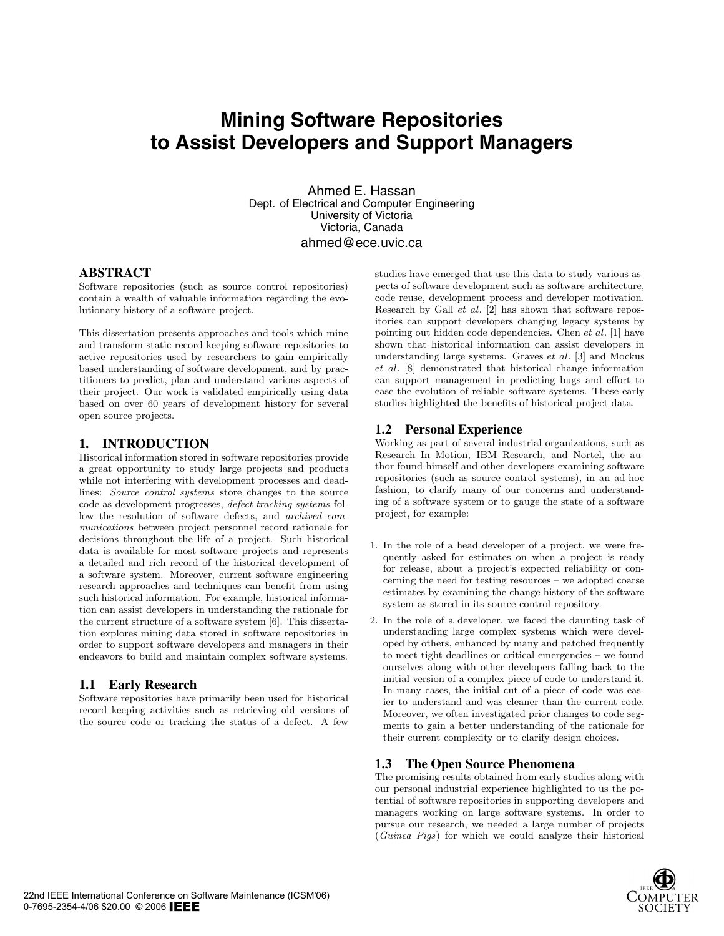# **Mining Software Repositories to Assist Developers and Support Managers**

Ahmed E. Hassan Dept. of Electrical and Computer Engineering University of Victoria Victoria, Canada ahmed@ece.uvic.ca

### **ABSTRACT**

Software repositories (such as source control repositories) contain a wealth of valuable information regarding the evolutionary history of a software project.

This dissertation presents approaches and tools which mine and transform static record keeping software repositories to active repositories used by researchers to gain empirically based understanding of software development, and by practitioners to predict, plan and understand various aspects of their project. Our work is validated empirically using data based on over 60 years of development history for several open source projects.

## **1. INTRODUCTION**

Historical information stored in software repositories provide a great opportunity to study large projects and products while not interfering with development processes and deadlines: Source control systems store changes to the source code as development progresses, defect tracking systems follow the resolution of software defects, and archived communications between project personnel record rationale for decisions throughout the life of a project. Such historical data is available for most software projects and represents a detailed and rich record of the historical development of a software system. Moreover, current software engineering research approaches and techniques can benefit from using such historical information. For example, historical information can assist developers in understanding the rationale for the current structure of a software system [6]. This dissertation explores mining data stored in software repositories in order to support software developers and managers in their endeavors to build and maintain complex software systems.

## **1.1 Early Research**

Software repositories have primarily been used for historical record keeping activities such as retrieving old versions of the source code or tracking the status of a defect. A few

studies have emerged that use this data to study various aspects of software development such as software architecture, code reuse, development process and developer motivation. Research by Gall et al. [2] has shown that software repositories can support developers changing legacy systems by pointing out hidden code dependencies. Chen et al. [1] have shown that historical information can assist developers in understanding large systems. Graves et al. [3] and Mockus et al. [8] demonstrated that historical change information can support management in predicting bugs and effort to ease the evolution of reliable software systems. These early studies highlighted the benefits of historical project data.

## **1.2 Personal Experience**

Working as part of several industrial organizations, such as Research In Motion, IBM Research, and Nortel, the author found himself and other developers examining software repositories (such as source control systems), in an ad-hoc fashion, to clarify many of our concerns and understanding of a software system or to gauge the state of a software project, for example:

- 1. In the role of a head developer of a project, we were frequently asked for estimates on when a project is ready for release, about a project's expected reliability or concerning the need for testing resources – we adopted coarse estimates by examining the change history of the software system as stored in its source control repository.
- 2. In the role of a developer, we faced the daunting task of understanding large complex systems which were developed by others, enhanced by many and patched frequently to meet tight deadlines or critical emergencies – we found ourselves along with other developers falling back to the initial version of a complex piece of code to understand it. In many cases, the initial cut of a piece of code was easier to understand and was cleaner than the current code. Moreover, we often investigated prior changes to code segments to gain a better understanding of the rationale for their current complexity or to clarify design choices.

## **1.3 The Open Source Phenomena**

The promising results obtained from early studies along with our personal industrial experience highlighted to us the potential of software repositories in supporting developers and managers working on large software systems. In order to pursue our research, we needed a large number of projects (Guinea Pigs) for which we could analyze their historical

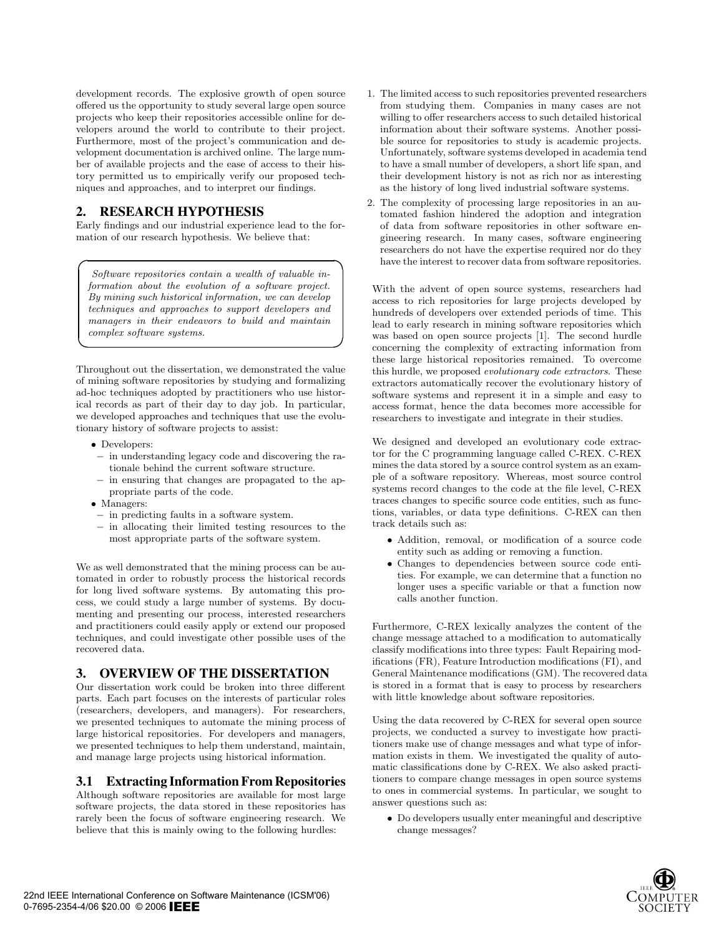development records. The explosive growth of open source offered us the opportunity to study several large open source projects who keep their repositories accessible online for developers around the world to contribute to their project. Furthermore, most of the project's communication and development documentation is archived online. The large number of available projects and the ease of access to their history permitted us to empirically verify our proposed techniques and approaches, and to interpret our findings.

## **2. RESEARCH HYPOTHESIS**

Early findings and our industrial experience lead to the formation of our research hypothesis. We believe that:

**☞**

Software repositories contain a wealth of valuable information about the evolution of a software project. By mining such historical information, we can develop techniques and approaches to support developers and managers in their endeavors to build and maintain complex software systems.

Throughout out the dissertation, we demonstrated the value of mining software repositories by studying and formalizing ad-hoc techniques adopted by practitioners who use historical records as part of their day to day job. In particular, we developed approaches and techniques that use the evolutionary history of software projects to assist:

• Developers:

**✎**

**✍**

- − in understanding legacy code and discovering the rationale behind the current software structure.
- − in ensuring that changes are propagated to the appropriate parts of the code.
- Managers:
- − in predicting faults in a software system.
- − in allocating their limited testing resources to the most appropriate parts of the software system.

We as well demonstrated that the mining process can be automated in order to robustly process the historical records for long lived software systems. By automating this process, we could study a large number of systems. By documenting and presenting our process, interested researchers and practitioners could easily apply or extend our proposed techniques, and could investigate other possible uses of the recovered data.

#### **3. OVERVIEW OF THE DISSERTATION**

Our dissertation work could be broken into three different parts. Each part focuses on the interests of particular roles (researchers, developers, and managers). For researchers, we presented techniques to automate the mining process of large historical repositories. For developers and managers, we presented techniques to help them understand, maintain, and manage large projects using historical information.

#### **3.1 Extracting Information From Repositories**

Although software repositories are available for most large software projects, the data stored in these repositories has rarely been the focus of software engineering research. We believe that this is mainly owing to the following hurdles:

- 1. The limited access to such repositories prevented researchers from studying them. Companies in many cases are not willing to offer researchers access to such detailed historical information about their software systems. Another possible source for repositories to study is academic projects. Unfortunately, software systems developed in academia tend to have a small number of developers, a short life span, and their development history is not as rich nor as interesting as the history of long lived industrial software systems.
- 2. The complexity of processing large repositories in an automated fashion hindered the adoption and integration of data from software repositories in other software engineering research. In many cases, software engineering researchers do not have the expertise required nor do they have the interest to recover data from software repositories.

With the advent of open source systems, researchers had access to rich repositories for large projects developed by hundreds of developers over extended periods of time. This lead to early research in mining software repositories which was based on open source projects [1]. The second hurdle concerning the complexity of extracting information from these large historical repositories remained. To overcome this hurdle, we proposed evolutionary code extractors. These extractors automatically recover the evolutionary history of software systems and represent it in a simple and easy to access format, hence the data becomes more accessible for researchers to investigate and integrate in their studies.

We designed and developed an evolutionary code extractor for the C programming language called C-REX. C-REX mines the data stored by a source control system as an example of a software repository. Whereas, most source control systems record changes to the code at the file level, C-REX traces changes to specific source code entities, such as functions, variables, or data type definitions. C-REX can then track details such as:

- Addition, removal, or modification of a source code entity such as adding or removing a function.
- Changes to dependencies between source code entities. For example, we can determine that a function no longer uses a specific variable or that a function now calls another function.

Furthermore, C-REX lexically analyzes the content of the change message attached to a modification to automatically classify modifications into three types: Fault Repairing modifications (FR), Feature Introduction modifications (FI), and General Maintenance modifications (GM). The recovered data is stored in a format that is easy to process by researchers with little knowledge about software repositories.

Using the data recovered by C-REX for several open source projects, we conducted a survey to investigate how practitioners make use of change messages and what type of information exists in them. We investigated the quality of automatic classifications done by C-REX. We also asked practitioners to compare change messages in open source systems to ones in commercial systems. In particular, we sought to answer questions such as:

• Do developers usually enter meaningful and descriptive change messages?

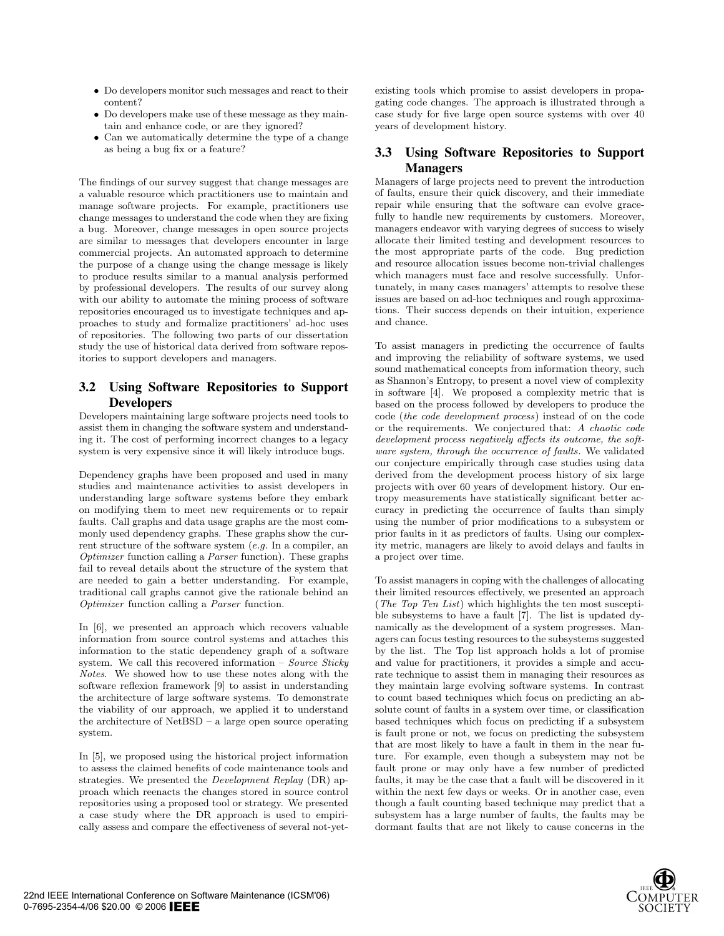- Do developers monitor such messages and react to their content?
- Do developers make use of these message as they maintain and enhance code, or are they ignored?
- Can we automatically determine the type of a change as being a bug fix or a feature?

The findings of our survey suggest that change messages are a valuable resource which practitioners use to maintain and manage software projects. For example, practitioners use change messages to understand the code when they are fixing a bug. Moreover, change messages in open source projects are similar to messages that developers encounter in large commercial projects. An automated approach to determine the purpose of a change using the change message is likely to produce results similar to a manual analysis performed by professional developers. The results of our survey along with our ability to automate the mining process of software repositories encouraged us to investigate techniques and approaches to study and formalize practitioners' ad-hoc uses of repositories. The following two parts of our dissertation study the use of historical data derived from software repositories to support developers and managers.

## **3.2 Using Software Repositories to Support Developers**

Developers maintaining large software projects need tools to assist them in changing the software system and understanding it. The cost of performing incorrect changes to a legacy system is very expensive since it will likely introduce bugs.

Dependency graphs have been proposed and used in many studies and maintenance activities to assist developers in understanding large software systems before they embark on modifying them to meet new requirements or to repair faults. Call graphs and data usage graphs are the most commonly used dependency graphs. These graphs show the current structure of the software system (e.g. In a compiler, an Optimizer function calling a Parser function). These graphs fail to reveal details about the structure of the system that are needed to gain a better understanding. For example, traditional call graphs cannot give the rationale behind an Optimizer function calling a Parser function.

In [6], we presented an approach which recovers valuable information from source control systems and attaches this information to the static dependency graph of a software system. We call this recovered information – Source Sticky Notes. We showed how to use these notes along with the software reflexion framework [9] to assist in understanding the architecture of large software systems. To demonstrate the viability of our approach, we applied it to understand the architecture of NetBSD – a large open source operating system.

In [5], we proposed using the historical project information to assess the claimed benefits of code maintenance tools and strategies. We presented the Development Replay (DR) approach which reenacts the changes stored in source control repositories using a proposed tool or strategy. We presented a case study where the DR approach is used to empirically assess and compare the effectiveness of several not-yetexisting tools which promise to assist developers in propagating code changes. The approach is illustrated through a case study for five large open source systems with over 40 years of development history.

## **3.3 Using Software Repositories to Support Managers**

Managers of large projects need to prevent the introduction of faults, ensure their quick discovery, and their immediate repair while ensuring that the software can evolve gracefully to handle new requirements by customers. Moreover, managers endeavor with varying degrees of success to wisely allocate their limited testing and development resources to the most appropriate parts of the code. Bug prediction and resource allocation issues become non-trivial challenges which managers must face and resolve successfully. Unfortunately, in many cases managers' attempts to resolve these issues are based on ad-hoc techniques and rough approximations. Their success depends on their intuition, experience and chance.

To assist managers in predicting the occurrence of faults and improving the reliability of software systems, we used sound mathematical concepts from information theory, such as Shannon's Entropy, to present a novel view of complexity in software [4]. We proposed a complexity metric that is based on the process followed by developers to produce the code (the code development process) instead of on the code or the requirements. We conjectured that: A chaotic code development process negatively affects its outcome, the software system, through the occurrence of faults. We validated our conjecture empirically through case studies using data derived from the development process history of six large projects with over 60 years of development history. Our entropy measurements have statistically significant better accuracy in predicting the occurrence of faults than simply using the number of prior modifications to a subsystem or prior faults in it as predictors of faults. Using our complexity metric, managers are likely to avoid delays and faults in a project over time.

To assist managers in coping with the challenges of allocating their limited resources effectively, we presented an approach (The Top Ten List) which highlights the ten most susceptible subsystems to have a fault [7]. The list is updated dynamically as the development of a system progresses. Managers can focus testing resources to the subsystems suggested by the list. The Top list approach holds a lot of promise and value for practitioners, it provides a simple and accurate technique to assist them in managing their resources as they maintain large evolving software systems. In contrast to count based techniques which focus on predicting an absolute count of faults in a system over time, or classification based techniques which focus on predicting if a subsystem is fault prone or not, we focus on predicting the subsystem that are most likely to have a fault in them in the near future. For example, even though a subsystem may not be fault prone or may only have a few number of predicted faults, it may be the case that a fault will be discovered in it within the next few days or weeks. Or in another case, even though a fault counting based technique may predict that a subsystem has a large number of faults, the faults may be dormant faults that are not likely to cause concerns in the